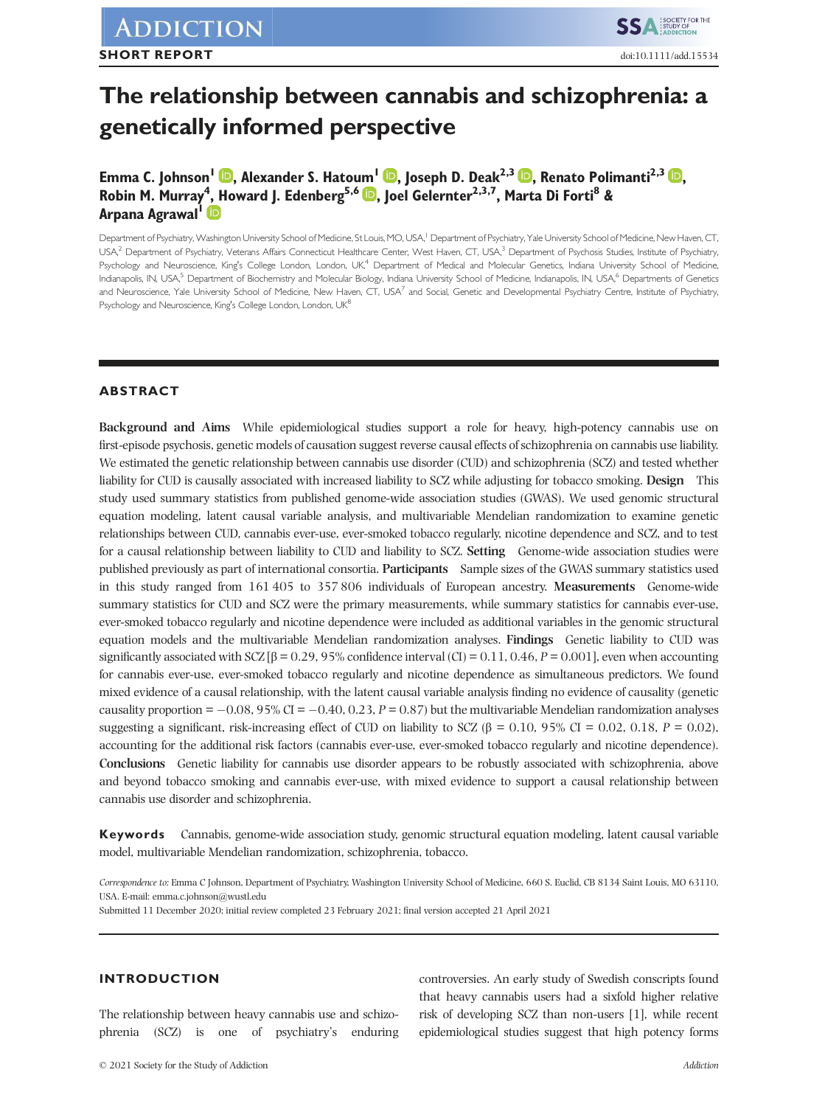# **The relationship between cannabis and schizophrenia: a genetically informed perspective**

**Emma C. Johnson<sup>1</sup> , Alexander S. Hatoum<sup>1</sup> , Joseph D. Deak2,3 , Renato Polimanti2,3 , Robin M. Murray<sup>4</sup> , Howard J. Edenberg5,6 , Joel Gelernter2,3,7, Marta Di Forti<sup>8</sup> & Arpana Agrawal<sup>1</sup>**

Department of Psychiatry, Washington University School of Medicine, St Louis, MO, USA,<sup>1</sup> Department of Psychiatry, Yale University School of Medicine, New Haven, CT, USA,<sup>2</sup> Department of Psychiatry, Veterans Affairs Connecticut Healthcare Center, West Haven, CT, USA,<sup>3</sup> Department of Psychosis Studies, Institute of Psychiatry, Psychology and Neuroscience, King's College London, London, UK,<sup>4</sup> Department of Medical and Molecular Genetics, Indiana University School of Medicine, Indianapolis, IN, USA,<sup>5</sup> Department of Biochemistry and Molecular Biology, Indiana University School of Medicine, Indianapolis, IN, USA,<sup>6</sup> Departments of Genetics and Neuroscience, Yale University School of Medicine, New Haven, CT, USA<sup>7</sup> and Social, Genetic and Developmental Psychiatry Centre, Institute of Psychiatry, Psychology and Neuroscience, King's College London, London, UK<sup>8</sup>

# **ABSTRACT**

**Background and Aims** While epidemiological studies support a role for heavy, high-potency cannabis use on first-episode psychosis, genetic models of causation suggest reverse causal effects of schizophrenia on cannabis use liability. We estimated the genetic relationship between cannabis use disorder (CUD) and schizophrenia (SCZ) and tested whether liability for CUD is causally associated with increased liability to SCZ while adjusting for tobacco smoking. **Design** This study used summary statistics from published genome-wide association studies (GWAS). We used genomic structural equation modeling, latent causal variable analysis, and multivariable Mendelian randomization to examine genetic relationships between CUD, cannabis ever-use, ever-smoked tobacco regularly, nicotine dependence and SCZ, and to test for a causal relationship between liability to CUD and liability to SCZ. **Setting** Genome-wide association studies were published previously as part of international consortia. **Participants** Sample sizes of the GWAS summary statistics used in this study ranged from 161 405 to 357 806 individuals of European ancestry. **Measurements** Genome-wide summary statistics for CUD and SCZ were the primary measurements, while summary statistics for cannabis ever-use, ever-smoked tobacco regularly and nicotine dependence were included as additional variables in the genomic structural equation models and the multivariable Mendelian randomization analyses. **Findings** Genetic liability to CUD was significantly associated with SCZ  $\beta$  = 0.29, 95% confidence interval (CI) = 0.11, 0.46, *P* = 0.001], even when accounting for cannabis ever-use, ever-smoked tobacco regularly and nicotine dependence as simultaneous predictors. We found mixed evidence of a causal relationship, with the latent causal variable analysis finding no evidence of causality (genetic causality proportion  $= -0.08$ ,  $95\%$  CI  $= -0.40$ , 0.23,  $P = 0.87$ ) but the multivariable Mendelian randomization analyses suggesting a significant, risk-increasing effect of CUD on liability to SCZ (β = 0.10, 95% CI = 0.02, 0.18,  $P = 0.02$ ), accounting for the additional risk factors (cannabis ever-use, ever-smoked tobacco regularly and nicotine dependence). **Conclusions** Genetic liability for cannabis use disorder appears to be robustly associated with schizophrenia, above and beyond tobacco smoking and cannabis ever-use, with mixed evidence to support a causal relationship between cannabis use disorder and schizophrenia.

**Keywords** Cannabis, genome-wide association study, genomic structural equation modeling, latent causal variable model, multivariable Mendelian randomization, schizophrenia, tobacco.

*Correspondence to:* Emma C Johnson, Department of Psychiatry, Washington University School of Medicine, 660 S. Euclid, CB 8134 Saint Louis, MO 63110, USA. E-mail: emma.c.johnson@wustl.edu

Submitted 11 December 2020; initial review completed 23 February 2021; final version accepted 21 April 2021

# **INTRODUCTION**

The relationship between heavy cannabis use and schizophrenia (SCZ) is one of psychiatry's enduring

controversies. An early study of Swedish conscripts found that heavy cannabis users had a sixfold higher relative risk of developing SCZ than non-users [1], while recent epidemiological studies suggest that high potency forms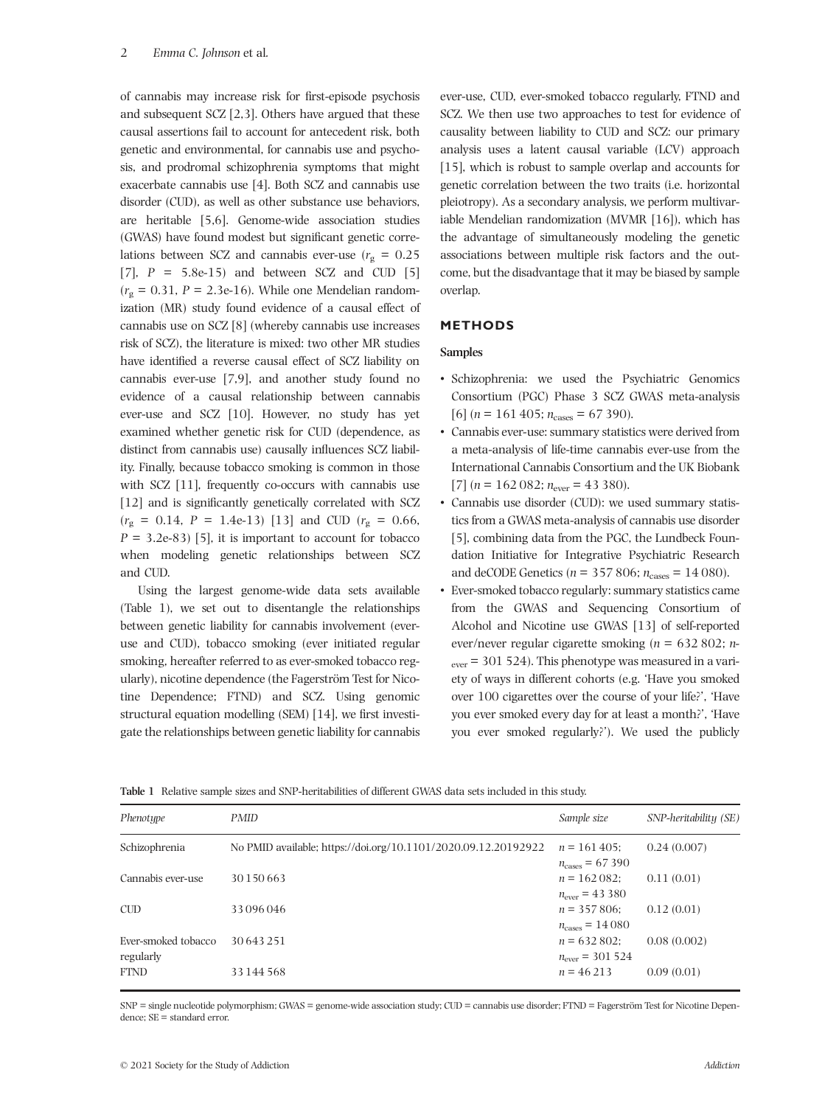of cannabis may increase risk for first-episode psychosis and subsequent SCZ [2,3]. Others have argued that these causal assertions fail to account for antecedent risk, both genetic and environmental, for cannabis use and psychosis, and prodromal schizophrenia symptoms that might exacerbate cannabis use [4]. Both SCZ and cannabis use disorder (CUD), as well as other substance use behaviors, are heritable [5,6]. Genome-wide association studies (GWAS) have found modest but significant genetic correlations between SCZ and cannabis ever-use  $(r_g = 0.25)$ [7],  $P = 5.8e-15$  and between SCZ and CUD [5]  $(r<sub>g</sub> = 0.31, P = 2.3e-16)$ . While one Mendelian randomization (MR) study found evidence of a causal effect of cannabis use on SCZ [8] (whereby cannabis use increases risk of SCZ), the literature is mixed: two other MR studies have identified a reverse causal effect of SCZ liability on cannabis ever-use [7,9], and another study found no evidence of a causal relationship between cannabis ever-use and SCZ [10]. However, no study has yet examined whether genetic risk for CUD (dependence, as distinct from cannabis use) causally influences SCZ liability. Finally, because tobacco smoking is common in those with SCZ [11], frequently co-occurs with cannabis use [12] and is significantly genetically correlated with SCZ  $(r<sub>g</sub> = 0.14, P = 1.4e-13)$  [13] and CUD  $(r<sub>g</sub> = 0.66,$  $P = 3.2e-83$  [5], it is important to account for tobacco when modeling genetic relationships between SCZ and CUD.

Using the largest genome-wide data sets available (Table 1), we set out to disentangle the relationships between genetic liability for cannabis involvement (everuse and CUD), tobacco smoking (ever initiated regular smoking, hereafter referred to as ever-smoked tobacco regularly), nicotine dependence (the Fagerström Test for Nicotine Dependence; FTND) and SCZ. Using genomic structural equation modelling (SEM) [14], we first investigate the relationships between genetic liability for cannabis ever-use, CUD, ever-smoked tobacco regularly, FTND and SCZ. We then use two approaches to test for evidence of causality between liability to CUD and SCZ: our primary analysis uses a latent causal variable (LCV) approach [15], which is robust to sample overlap and accounts for genetic correlation between the two traits (i.e. horizontal pleiotropy). As a secondary analysis, we perform multivariable Mendelian randomization (MVMR [16]), which has the advantage of simultaneously modeling the genetic associations between multiple risk factors and the outcome, but the disadvantage that it may be biased by sample overlap.

# **METHODS**

### **Samples**

- Schizophrenia: we used the Psychiatric Genomics Consortium (PGC) Phase 3 SCZ GWAS meta-analysis  $[6]$  (*n* = 161 405;  $n_{\text{cases}}$  = 67 390).
- Cannabis ever-use: summary statistics were derived from a meta-analysis of life-time cannabis ever-use from the International Cannabis Consortium and the UK Biobank [7]  $(n = 162 082; n_{\text{ever}} = 43 380)$ .
- Cannabis use disorder (CUD): we used summary statistics from a GWAS meta-analysis of cannabis use disorder [5], combining data from the PGC, the Lundbeck Foundation Initiative for Integrative Psychiatric Research and deCODE Genetics ( $n = 357,806$ ;  $n_{\text{cases}} = 14,080$ ).
- Ever-smoked tobacco regularly: summary statistics came from the GWAS and Sequencing Consortium of Alcohol and Nicotine use GWAS [13] of self-reported ever/never regular cigarette smoking (*n* = 632 802; *n*- $_{\text{ever}}$  = 301 524). This phenotype was measured in a variety of ways in different cohorts (e.g. 'Have you smoked over 100 cigarettes over the course of your life?', 'Have you ever smoked every day for at least a month?', 'Have you ever smoked regularly?'). We used the publicly

|  |  | Table 1 Relative sample sizes and SNP-heritabilities of different GWAS data sets included in this study. |  |  |  |  |  |  |  |  |  |  |
|--|--|----------------------------------------------------------------------------------------------------------|--|--|--|--|--|--|--|--|--|--|
|--|--|----------------------------------------------------------------------------------------------------------|--|--|--|--|--|--|--|--|--|--|

| Phenotype                        | <b>PMID</b>                                                    | Sample size                                | SNP-heritability (SE) |
|----------------------------------|----------------------------------------------------------------|--------------------------------------------|-----------------------|
| Schizophrenia                    | No PMID available; https://doi.org/10.1101/2020.09.12.20192922 | $n = 161405$<br>$n_{\text{cases}} = 67390$ | 0.24(0.007)           |
| Cannabis ever-use                | 30 150 663                                                     | $n = 162082$<br>$n_{\text{ever}} = 43380$  | 0.11(0.01)            |
| <b>CUD</b>                       | 33096046                                                       | $n = 357806$<br>$n_{\text{cases}} = 14080$ | 0.12(0.01)            |
| Ever-smoked tobacco<br>regularly | 30643251                                                       | $n = 632802$<br>$n_{\text{ever}} = 301524$ | 0.08(0.002)           |
| <b>FTND</b>                      | 33 144 568                                                     | $n = 46213$                                | 0.09(0.01)            |

SNP = single nucleotide polymorphism; GWAS = genome-wide association study; CUD = cannabis use disorder; FTND = Fagerström Test for Nicotine Dependence; SE = standard error.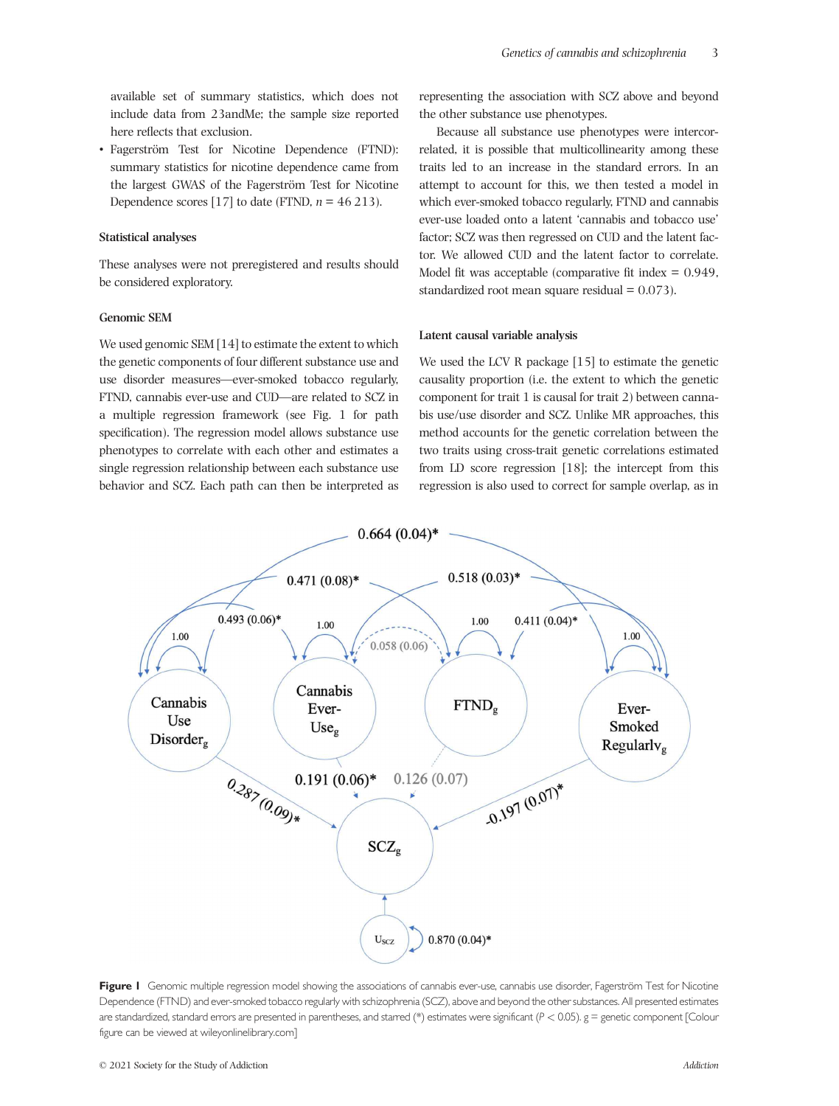available set of summary statistics, which does not include data from 23andMe; the sample size reported here reflects that exclusion.

• Fagerström Test for Nicotine Dependence (FTND): summary statistics for nicotine dependence came from the largest GWAS of the Fagerström Test for Nicotine Dependence scores [17] to date (FTND,  $n = 46213$ ).

#### **Statistical analyses**

These analyses were not preregistered and results should be considered exploratory.

## **Genomic SEM**

We used genomic SEM [14] to estimate the extent to which the genetic components of four different substance use and use disorder measures—ever-smoked tobacco regularly, FTND, cannabis ever-use and CUD—are related to SCZ in a multiple regression framework (see Fig. 1 for path specification). The regression model allows substance use phenotypes to correlate with each other and estimates a single regression relationship between each substance use behavior and SCZ. Each path can then be interpreted as

representing the association with SCZ above and beyond the other substance use phenotypes.

Because all substance use phenotypes were intercorrelated, it is possible that multicollinearity among these traits led to an increase in the standard errors. In an attempt to account for this, we then tested a model in which ever-smoked tobacco regularly, FTND and cannabis ever-use loaded onto a latent 'cannabis and tobacco use' factor; SCZ was then regressed on CUD and the latent factor. We allowed CUD and the latent factor to correlate. Model fit was acceptable (comparative fit index  $= 0.949$ , standardized root mean square residual  $= 0.073$ ).

#### **Latent causal variable analysis**

We used the LCV R package [15] to estimate the genetic causality proportion (i.e. the extent to which the genetic component for trait 1 is causal for trait 2) between cannabis use/use disorder and SCZ. Unlike MR approaches, this method accounts for the genetic correlation between the two traits using cross-trait genetic correlations estimated from LD score regression [18]; the intercept from this regression is also used to correct for sample overlap, as in



Figure I Genomic multiple regression model showing the associations of cannabis ever-use, cannabis use disorder, Fagerström Test for Nicotine Dependence (FTND) and ever-smoked tobacco regularly with schizophrenia (SCZ), above and beyond the other substances. All presented estimates are standardized, standard errors are presented in parentheses, and starred (\*) estimates were significant (*P <* 0.05). g = genetic component [Colour figure can be viewed at wileyonlinelibrary.com]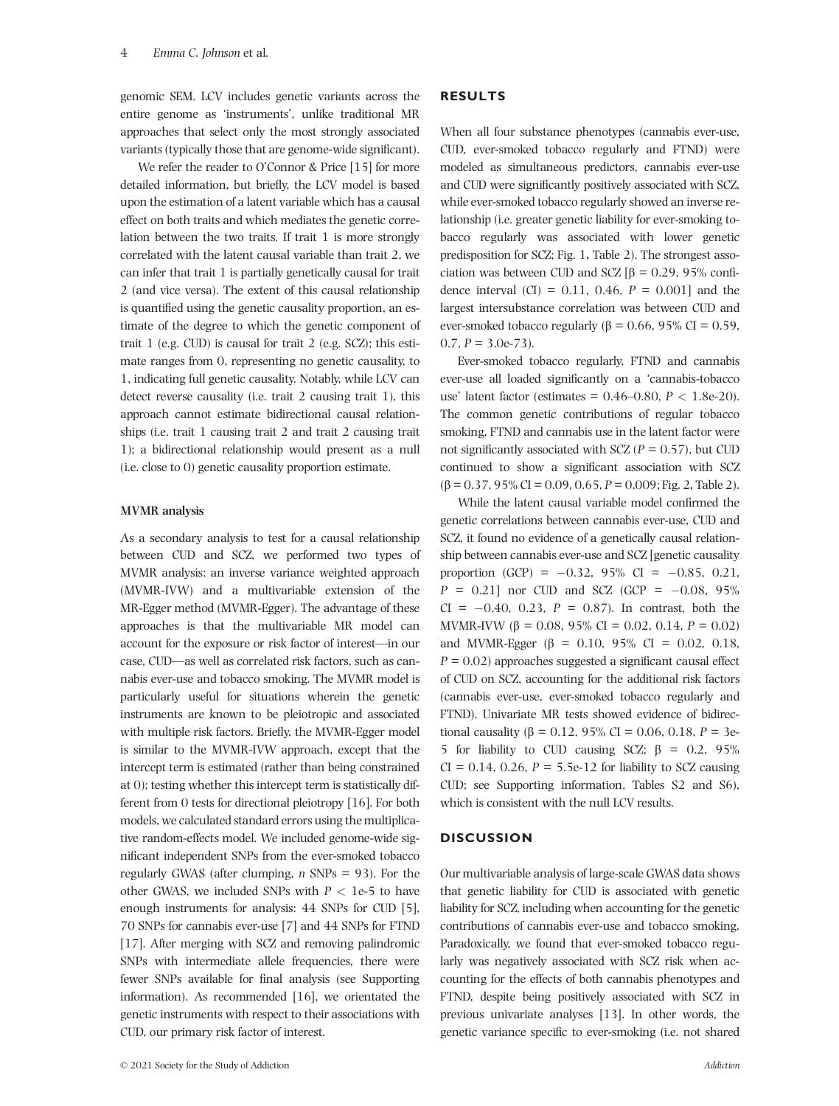genomic SEM. LCV includes genetic variants across the entire genome as 'instruments', unlike traditional MR approaches that select only the most strongly associated variants (typically those that are genome-wide significant).

We refer the reader to O'Connor & Price [15] for more detailed information, but briefly, the LCV model is based upon the estimation of a latent variable which has a causal effect on both traits and which mediates the genetic correlation between the two traits. If trait 1 is more strongly correlated with the latent causal variable than trait 2, we can infer that trait 1 is partially genetically causal for trait 2 (and vice versa). The extent of this causal relationship is quantified using the genetic causality proportion, an estimate of the degree to which the genetic component of trait 1 (e.g. CUD) is causal for trait 2 (e.g. SCZ); this estimate ranges from 0, representing no genetic causality, to 1, indicating full genetic causality. Notably, while LCV can detect reverse causality (i.e. trait 2 causing trait 1), this approach cannot estimate bidirectional causal relationships (i.e. trait 1 causing trait 2 and trait 2 causing trait 1); a bidirectional relationship would present as a null (i.e. close to 0) genetic causality proportion estimate.

#### **MVMR analysis**

As a secondary analysis to test for a causal relationship between CUD and SCZ, we performed two types of MVMR analysis: an inverse variance weighted approach (MVMR-IVW) and a multivariable extension of the MR-Egger method (MVMR-Egger). The advantage of these approaches is that the multivariable MR model can account for the exposure or risk factor of interest—in our case, CUD—as well as correlated risk factors, such as cannabis ever-use and tobacco smoking. The MVMR model is particularly useful for situations wherein the genetic instruments are known to be pleiotropic and associated with multiple risk factors. Briefly, the MVMR-Egger model is similar to the MVMR-IVW approach, except that the intercept term is estimated (rather than being constrained at 0); testing whether this intercept term is statistically different from 0 tests for directional pleiotropy [16]. For both models, we calculated standard errors using the multiplicative random-effects model. We included genome-wide significant independent SNPs from the ever-smoked tobacco regularly GWAS (after clumping, *n* SNPs = 93). For the other GWAS, we included SNPs with  $P < 1e-5$  to have enough instruments for analysis: 44 SNPs for CUD [5], 70 SNPs for cannabis ever-use [7] and 44 SNPs for FTND [17]. After merging with SCZ and removing palindromic SNPs with intermediate allele frequencies, there were fewer SNPs available for final analysis (see Supporting information). As recommended [16], we orientated the genetic instruments with respect to their associations with CUD, our primary risk factor of interest.

## **RESULTS**

When all four substance phenotypes (cannabis ever-use, CUD, ever-smoked tobacco regularly and FTND) were modeled as simultaneous predictors, cannabis ever-use and CUD were significantly positively associated with SCZ, while ever-smoked tobacco regularly showed an inverse relationship (i.e. greater genetic liability for ever-smoking tobacco regularly was associated with lower genetic predisposition for SCZ; Fig. 1**,** Table 2). The strongest association was between CUD and SCZ [β =  $0.29$ , 95% confidence interval (CI) =  $0.11$ ,  $0.46$ ,  $P = 0.001$ ] and the largest intersubstance correlation was between CUD and ever-smoked tobacco regularly ( $β = 0.66$ , 95% CI = 0.59, 0.7,  $P = 3.0e-73$ ).

Ever-smoked tobacco regularly, FTND and cannabis ever-use all loaded significantly on a 'cannabis-tobacco use' latent factor (estimates = 0.46–0.80, *P <* 1.8e-20). The common genetic contributions of regular tobacco smoking, FTND and cannabis use in the latent factor were not significantly associated with SCZ  $(P = 0.57)$ , but CUD continued to show a significant association with SCZ (β = 0.37, 95% CI = 0.09, 0.65, *P* = 0.009; Fig. 2**,** Table 2).

While the latent causal variable model confirmed the genetic correlations between cannabis ever-use, CUD and SCZ, it found no evidence of a genetically causal relationship between cannabis ever-use and SCZ [genetic causality proportion (GCP) =  $-0.32$ , 95% CI =  $-0.85$ , 0.21,  $P = 0.21$ ] nor CUD and SCZ (GCP =  $-0.08$ , 95%)  $CI = -0.40, 0.23, P = 0.87$ . In contrast, both the MVMR-IVW (β = 0.08, 95% CI = 0.02, 0.14, *P* = 0.02) and MVMR-Egger (β = 0.10, 95% CI = 0.02, 0.18, *P* = 0.02) approaches suggested a significant causal effect of CUD on SCZ, accounting for the additional risk factors (cannabis ever-use, ever-smoked tobacco regularly and FTND). Univariate MR tests showed evidence of bidirectional causality (β = 0.12, 95% CI = 0.06, 0.18,  $P = 3e$ -5 for liability to CUD causing SCZ;  $β = 0.2$ , 95%  $CI = 0.14$ , 0.26,  $P = 5.5e-12$  for liability to SCZ causing CUD; see Supporting information, Tables S2 and S6), which is consistent with the null LCV results.

## **DISCUSSION**

Our multivariable analysis of large-scale GWAS data shows that genetic liability for CUD is associated with genetic liability for SCZ, including when accounting for the genetic contributions of cannabis ever-use and tobacco smoking. Paradoxically, we found that ever-smoked tobacco regularly was negatively associated with SCZ risk when accounting for the effects of both cannabis phenotypes and FTND, despite being positively associated with SCZ in previous univariate analyses [13]. In other words, the genetic variance specific to ever-smoking (i.e. not shared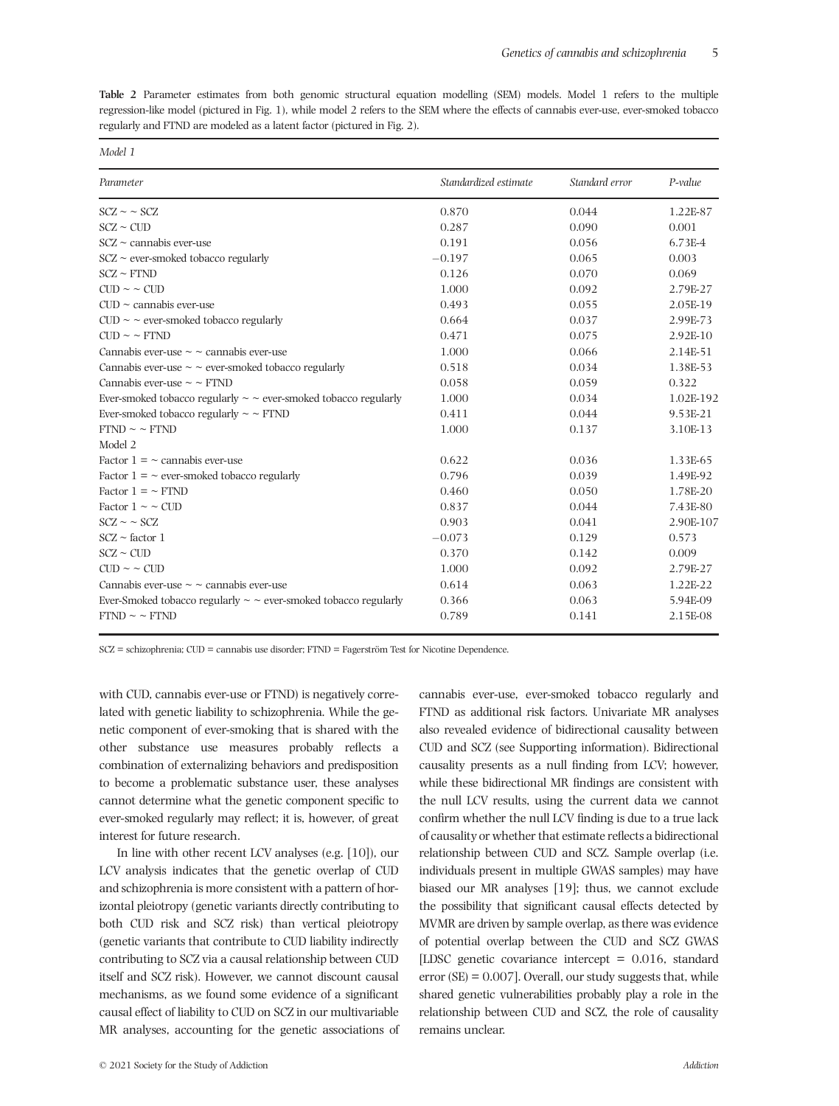**Table 2** Parameter estimates from both genomic structural equation modelling (SEM) models. Model 1 refers to the multiple regression-like model (pictured in Fig. 1), while model 2 refers to the SEM where the effects of cannabis ever-use, ever-smoked tobacco regularly and FTND are modeled as a latent factor (pictured in Fig. 2).

| Parameter                                                               | Standardized estimate | Standard error | P-value    |
|-------------------------------------------------------------------------|-----------------------|----------------|------------|
| $SCZ \sim SCZ$                                                          | 0.870                 | 0.044          | 1.22E-87   |
| $SCZ \sim CUD$                                                          | 0.287                 | 0.090          | 0.001      |
| $SCZ \sim$ cannabis ever-use                                            | 0.191                 | 0.056          | 6.73E-4    |
| $SCZ \sim$ ever-smoked tobacco regularly                                | $-0.197$              | 0.065          | 0.003      |
| $SCZ \sim FTND$                                                         | 0.126                 | 0.070          | 0.069      |
| $CUD \sim CUD$                                                          | 1.000                 | 0.092          | 2.79E-27   |
| $CUD \sim$ cannabis ever-use                                            | 0.493                 | 0.055          | 2.05E-19   |
| $CUD \sim$ ever-smoked tobacco regularly                                | 0.664                 | 0.037          | 2.99E-73   |
| $CUD \sim \sim FTND$                                                    | 0.471                 | 0.075          | $2.92E-10$ |
| Cannabis ever-use $\sim$ $\sim$ cannabis ever-use                       | 1.000                 | 0.066          | 2.14E-51   |
| Cannabis ever-use $\sim \sim$ ever-smoked tobacco regularly             | 0.518                 | 0.034          | 1.38E-53   |
| Cannabis ever-use $\sim$ $\sim$ FTND                                    | 0.058                 | 0.059          | 0.322      |
| Ever-smoked tobacco regularly $\sim \sim$ ever-smoked tobacco regularly | 1.000                 | 0.034          | 1.02E-192  |
| Ever-smoked tobacco regularly $\sim \sim$ FTND                          | 0.411                 | 0.044          | 9.53E-21   |
| $FTND \sim \sim FTND$                                                   | 1.000                 | 0.137          | 3.10E-13   |
| Model 2                                                                 |                       |                |            |
| Factor $1 = \sim$ cannabis ever-use                                     | 0.622                 | 0.036          | 1.33E-65   |
| Factor $1 = \sim$ ever-smoked tobacco regularly                         | 0.796                 | 0.039          | 1.49E-92   |
| Factor $1 = \sim$ FTND                                                  | 0.460                 | 0.050          | 1.78E-20   |
| Factor $1 \sim \sim$ CUD                                                | 0.837                 | 0.044          | 7.43E-80   |
| $SCZ \sim SCZ$                                                          | 0.903                 | 0.041          | 2.90E-107  |
| $SCZ \sim$ factor 1                                                     | $-0.073$              | 0.129          | 0.573      |
| $SCZ \sim CUD$                                                          | 0.370                 | 0.142          | 0.009      |
| $CUD \sim CUD$                                                          | 1.000                 | 0.092          | 2.79E-27   |
| Cannabis ever-use $\sim$ $\sim$ cannabis ever-use                       | 0.614                 | 0.063          | 1.22E-22   |
| Ever-Smoked tobacco regularly $\sim \sim$ ever-smoked tobacco regularly | 0.366                 | 0.063          | 5.94E-09   |
| $FTND \sim \sim FTND$                                                   | 0.789                 | 0.141          | 2.15E-08   |

SCZ = schizophrenia; CUD = cannabis use disorder; FTND = Fagerström Test for Nicotine Dependence.

with CUD, cannabis ever-use or FTND) is negatively correlated with genetic liability to schizophrenia. While the genetic component of ever-smoking that is shared with the other substance use measures probably reflects a combination of externalizing behaviors and predisposition to become a problematic substance user, these analyses cannot determine what the genetic component specific to ever-smoked regularly may reflect; it is, however, of great interest for future research.

In line with other recent LCV analyses (e.g. [10]), our LCV analysis indicates that the genetic overlap of CUD and schizophrenia is more consistent with a pattern of horizontal pleiotropy (genetic variants directly contributing to both CUD risk and SCZ risk) than vertical pleiotropy (genetic variants that contribute to CUD liability indirectly contributing to SCZ via a causal relationship between CUD itself and SCZ risk). However, we cannot discount causal mechanisms, as we found some evidence of a significant causal effect of liability to CUD on SCZ in our multivariable MR analyses, accounting for the genetic associations of FTND as additional risk factors. Univariate MR analyses also revealed evidence of bidirectional causality between CUD and SCZ (see Supporting information). Bidirectional causality presents as a null finding from LCV; however, while these bidirectional MR findings are consistent with the null LCV results, using the current data we cannot confirm whether the null LCV finding is due to a true lack of causality or whether that estimate reflects a bidirectional relationship between CUD and SCZ. Sample overlap (i.e. individuals present in multiple GWAS samples) may have biased our MR analyses [19]; thus, we cannot exclude the possibility that significant causal effects detected by MVMR are driven by sample overlap, as there was evidence of potential overlap between the CUD and SCZ GWAS [LDSC genetic covariance intercept = 0.016, standard error  $(SE) = 0.007$ . Overall, our study suggests that, while shared genetic vulnerabilities probably play a role in the relationship between CUD and SCZ, the role of causality remains unclear.

cannabis ever-use, ever-smoked tobacco regularly and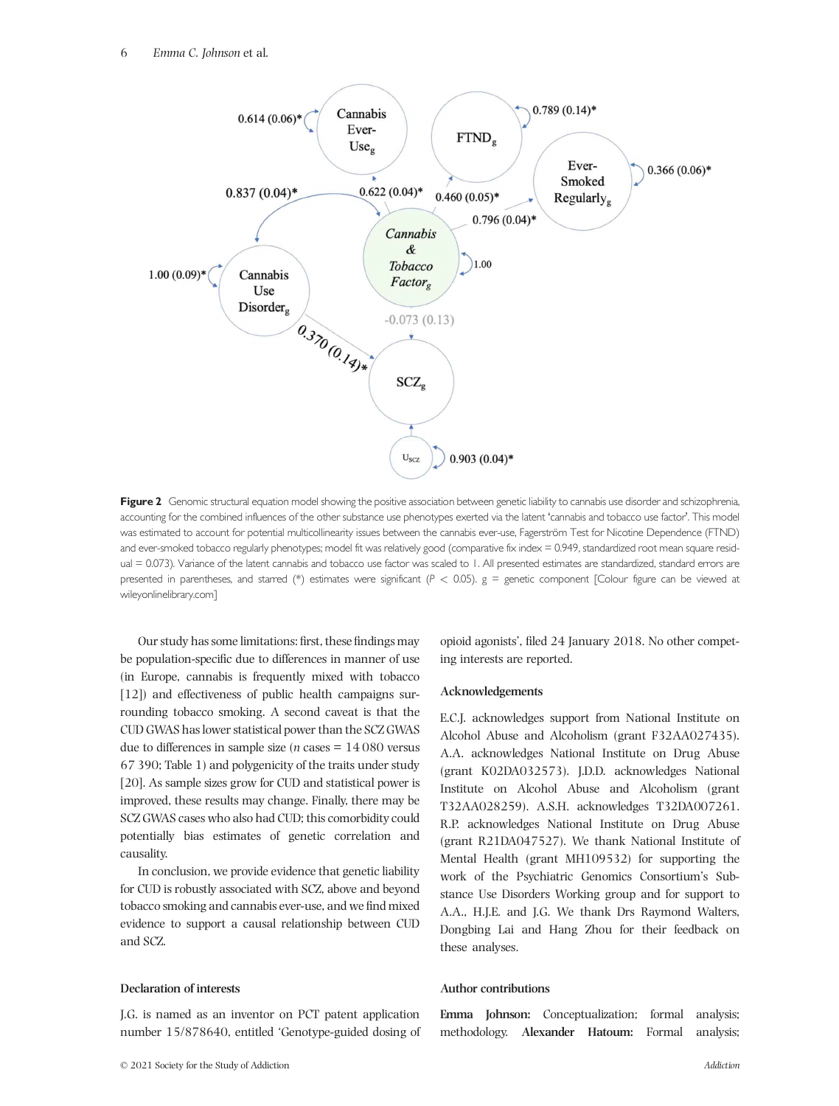

**Figure 2** Genomic structural equation model showing the positive association between genetic liability to cannabis use disorder and schizophrenia, accounting for the combined influences of the other substance use phenotypes exerted via the latent 'cannabis and tobacco use factor'. This model was estimated to account for potential multicollinearity issues between the cannabis ever-use, Fagerström Test for Nicotine Dependence (FTND) and ever-smoked tobacco regularly phenotypes; model fit was relatively good (comparative fix index = 0.949, standardized root mean square residual = 0.073). Variance of the latent cannabis and tobacco use factor was scaled to 1. All presented estimates are standardized, standard errors are presented in parentheses, and starred (\*) estimates were significant (*P <* 0.05). g = genetic component [Colour figure can be viewed at wileyonlinelibrary.com]

Our study has some limitations: first, these findings may be population-specific due to differences in manner of use (in Europe, cannabis is frequently mixed with tobacco [12]) and effectiveness of public health campaigns surrounding tobacco smoking. A second caveat is that the CUD GWAS has lower statistical power than the SCZ GWAS due to differences in sample size ( $n$  cases  $= 14080$  versus 67 390; Table 1) and polygenicity of the traits under study [20]. As sample sizes grow for CUD and statistical power is improved, these results may change. Finally, there may be SCZ GWAS cases who also had CUD; this comorbidity could potentially bias estimates of genetic correlation and causality.

In conclusion, we provide evidence that genetic liability for CUD is robustly associated with SCZ, above and beyond tobacco smoking and cannabis ever-use, and we find mixed evidence to support a causal relationship between CUD and SCZ.

## **Declaration of interests**

J.G. is named as an inventor on PCT patent application number 15/878640, entitled 'Genotype-guided dosing of

opioid agonists', filed 24 January 2018. No other competing interests are reported.

#### **Acknowledgements**

E.C.J. acknowledges support from National Institute on Alcohol Abuse and Alcoholism (grant F32AA027435). A.A. acknowledges National Institute on Drug Abuse (grant K02DA032573). J.D.D. acknowledges National Institute on Alcohol Abuse and Alcoholism (grant T32AA028259). A.S.H. acknowledges T32DA007261. R.P. acknowledges National Institute on Drug Abuse (grant R21DA047527). We thank National Institute of Mental Health (grant MH109532) for supporting the work of the Psychiatric Genomics Consortium's Substance Use Disorders Working group and for support to A.A., H.J.E. and J.G. We thank Drs Raymond Walters, Dongbing Lai and Hang Zhou for their feedback on these analyses.

### **Author contributions**

**Emma Johnson:** Conceptualization; formal analysis; methodology. **Alexander Hatoum:** Formal analysis;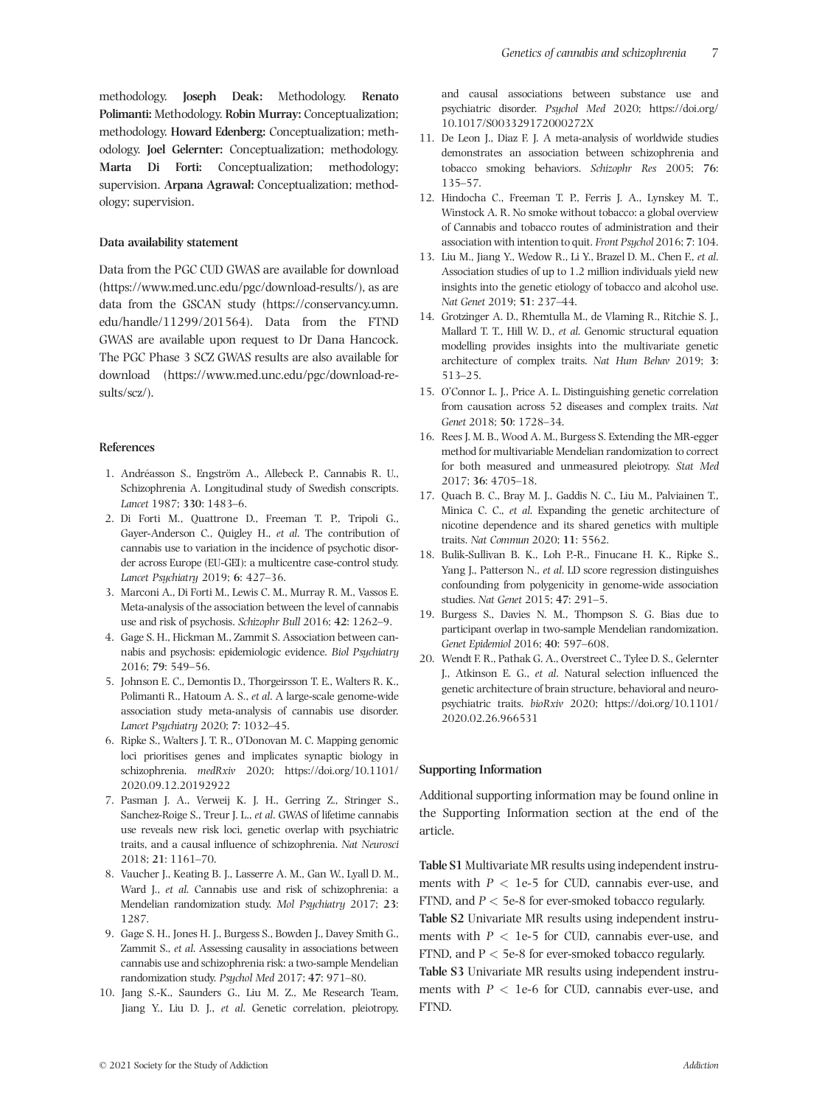methodology. **Joseph Deak:** Methodology. **Renato Polimanti:** Methodology. **Robin Murray:** Conceptualization; methodology. **Howard Edenberg:** Conceptualization; methodology. **Joel Gelernter:** Conceptualization; methodology. **Marta Di Forti:** Conceptualization; methodology; supervision. **Arpana Agrawal:** Conceptualization; methodology; supervision.

#### **Data availability statement**

Data from the PGC CUD GWAS are available for download (https://www.med.unc.edu/pgc/download-results/), as are data from the GSCAN study (https://conservancy.umn. edu/handle/11299/201564). Data from the FTND GWAS are available upon request to Dr Dana Hancock. The PGC Phase 3 SCZ GWAS results are also available for download (https://www.med.unc.edu/pgc/download-results/scz/).

## **References**

- 1. Andréasson S., Engström A., Allebeck P., Cannabis R. U., Schizophrenia A. Longitudinal study of Swedish conscripts. *Lancet* 1987; **330**: 1483–6.
- 2. Di Forti M., Quattrone D., Freeman T. P., Tripoli G., Gayer-Anderson C., Quigley H., *et al*. The contribution of cannabis use to variation in the incidence of psychotic disorder across Europe (EU-GEI): a multicentre case-control study. *Lancet Psychiatry* 2019; **6**: 427–36.
- 3. Marconi A., Di Forti M., Lewis C. M., Murray R. M., Vassos E. Meta-analysis of the association between the level of cannabis use and risk of psychosis. *Schizophr Bull* 2016; **42**: 1262–9.
- 4. Gage S. H., Hickman M., Zammit S. Association between cannabis and psychosis: epidemiologic evidence. *Biol Psychiatry* 2016; **79**: 549–56.
- 5. Johnson E. C., Demontis D., Thorgeirsson T. E., Walters R. K., Polimanti R., Hatoum A. S., *et al*. A large-scale genome-wide association study meta-analysis of cannabis use disorder. *Lancet Psychiatry* 2020; **7**: 1032–45.
- 6. Ripke S., Walters J. T. R., O'Donovan M. C. Mapping genomic loci prioritises genes and implicates synaptic biology in schizophrenia. *medRxiv* 2020; https://doi.org/10.1101/ 2020.09.12.20192922
- 7. Pasman J. A., Verweij K. J. H., Gerring Z., Stringer S., Sanchez-Roige S., Treur J. L., *et al*. GWAS of lifetime cannabis use reveals new risk loci, genetic overlap with psychiatric traits, and a causal influence of schizophrenia. *Nat Neurosci* 2018; **21**: 1161–70.
- 8. Vaucher J., Keating B. J., Lasserre A. M., Gan W., Lyall D. M., Ward J., *et al*. Cannabis use and risk of schizophrenia: a Mendelian randomization study. *Mol Psychiatry* 2017; **23**: 1287.
- 9. Gage S. H., Jones H. J., Burgess S., Bowden J., Davey Smith G., Zammit S., *et al*. Assessing causality in associations between cannabis use and schizophrenia risk: a two-sample Mendelian randomization study. *Psychol Med* 2017; **47**: 971–80.
- 10. Jang S.-K., Saunders G., Liu M. Z., Me Research Team, Jiang Y., Liu D. J., *et al*. Genetic correlation, pleiotropy,

and causal associations between substance use and psychiatric disorder. *Psychol Med* 2020; https://doi.org/ 10.1017/S003329172000272X

- 11. De Leon J., Diaz F. J. A meta-analysis of worldwide studies demonstrates an association between schizophrenia and tobacco smoking behaviors. *Schizophr Res* 2005; **76**: 135–57.
- 12. Hindocha C., Freeman T. P., Ferris J. A., Lynskey M. T., Winstock A. R. No smoke without tobacco: a global overview of Cannabis and tobacco routes of administration and their association with intention to quit. *Front Psychol* 2016; **7**: 104.
- 13. Liu M., Jiang Y., Wedow R., Li Y., Brazel D. M., Chen F., *et al*. Association studies of up to 1.2 million individuals yield new insights into the genetic etiology of tobacco and alcohol use. *Nat Genet* 2019; **51**: 237–44.
- 14. Grotzinger A. D., Rhemtulla M., de Vlaming R., Ritchie S. J., Mallard T. T., Hill W. D., *et al*. Genomic structural equation modelling provides insights into the multivariate genetic architecture of complex traits. *Nat Hum Behav* 2019; **3**: 513–25.
- 15. O'Connor L. J., Price A. L. Distinguishing genetic correlation from causation across 52 diseases and complex traits. *Nat Genet* 2018; **50**: 1728–34.
- 16. Rees J. M. B., Wood A. M., Burgess S. Extending the MR-egger method for multivariable Mendelian randomization to correct for both measured and unmeasured pleiotropy. *Stat Med* 2017; **36**: 4705–18.
- 17. Quach B. C., Bray M. J., Gaddis N. C., Liu M., Palviainen T., Minica C. C., *et al*. Expanding the genetic architecture of nicotine dependence and its shared genetics with multiple traits. *Nat Commun* 2020; **11**: 5562.
- 18. Bulik-Sullivan B. K., Loh P.-R., Finucane H. K., Ripke S., Yang J., Patterson N., *et al*. LD score regression distinguishes confounding from polygenicity in genome-wide association studies. *Nat Genet* 2015; **47**: 291–5.
- 19. Burgess S., Davies N. M., Thompson S. G. Bias due to participant overlap in two-sample Mendelian randomization. *Genet Epidemiol* 2016; **40**: 597–608.
- 20. Wendt F. R., Pathak G. A., Overstreet C., Tylee D. S., Gelernter J., Atkinson E. G., *et al*. Natural selection influenced the genetic architecture of brain structure, behavioral and neuropsychiatric traits. *bioRxiv* 2020; https://doi.org/10.1101/ 2020.02.26.966531

#### **Supporting Information**

Additional supporting information may be found online in the Supporting Information section at the end of the article.

**Table S1** Multivariate MR results using independent instruments with  $P < 1e-5$  for CUD, cannabis ever-use, and FTND, and  $P < 5e-8$  for ever-smoked tobacco regularly. **Table S2** Univariate MR results using independent instruments with  $P < 1e-5$  for CUD, cannabis ever-use, and FTND, and P *<* 5e-8 for ever-smoked tobacco regularly. **Table S3** Univariate MR results using independent instruments with  $P < 1e-6$  for CUD, cannabis ever-use, and FTND.